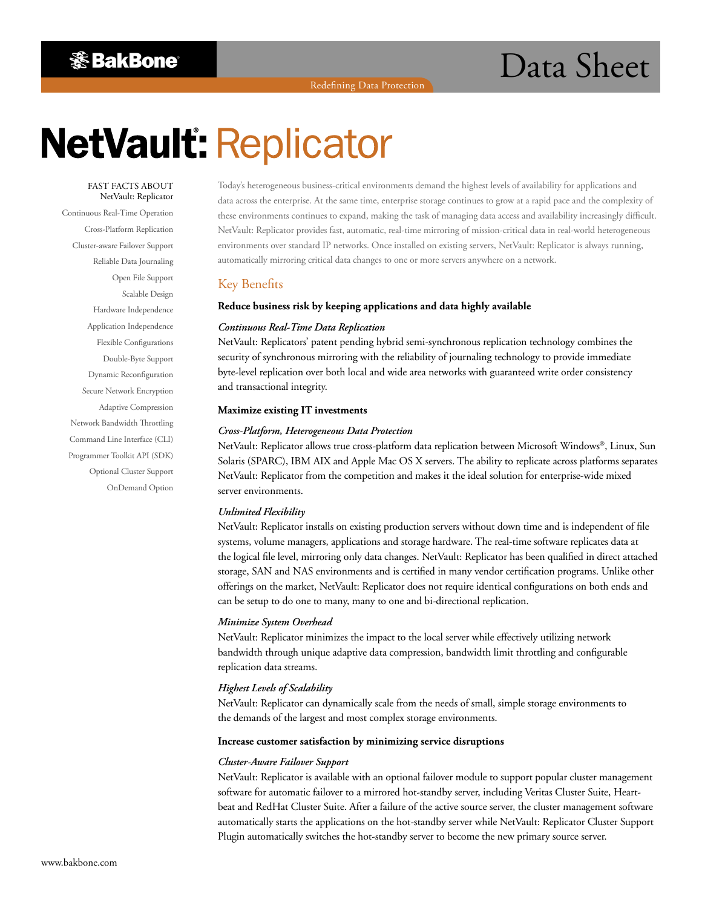Redefining Data Protection

# **※BakBone**

# **NetVault: Replicator**

#### FAST FACTS ABOUT NetVault: Replicator

Continuous Real-Time Operation Cross-Platform Replication Cluster-aware Failover Support Reliable Data Journaling Open File Support Scalable Design Hardware Independence Application Independence Flexible Configurations Double-Byte Support Dynamic Reconfiguration Secure Network Encryption Adaptive Compression Network Bandwidth Throttling Command Line Interface (CLI) Programmer Toolkit API (SDK) Optional Cluster Support OnDemand Option

Today's heterogeneous business-critical environments demand the highest levels of availability for applications and data across the enterprise. At the same time, enterprise storage continues to grow at a rapid pace and the complexity of these environments continues to expand, making the task of managing data access and availability increasingly difficult. NetVault: Replicator provides fast, automatic, real-time mirroring of mission-critical data in real-world heterogeneous environments over standard IP networks. Once installed on existing servers, NetVault: Replicator is always running, automatically mirroring critical data changes to one or more servers anywhere on a network.

# Key Benefits

### **Reduce business risk by keeping applications and data highly available**

#### *Continuous Real-Time Data Replication*

NetVault: Replicators' patent pending hybrid semi-synchronous replication technology combines the security of synchronous mirroring with the reliability of journaling technology to provide immediate byte-level replication over both local and wide area networks with guaranteed write order consistency and transactional integrity.

#### **Maximize existing IT investments**

#### *Cross-Platform, Heterogeneous Data Protection*

NetVault: Replicator allows true cross-platform data replication between Microsoft Windows®, Linux, Sun Solaris (SPARC), IBM AIX and Apple Mac OS X servers. The ability to replicate across platforms separates NetVault: Replicator from the competition and makes it the ideal solution for enterprise-wide mixed server environments.

#### *Unlimited Flexibility*

NetVault: Replicator installs on existing production servers without down time and is independent of file systems, volume managers, applications and storage hardware. The real-time software replicates data at the logical file level, mirroring only data changes. NetVault: Replicator has been qualified in direct attached storage, SAN and NAS environments and is certified in many vendor certification programs. Unlike other offerings on the market, NetVault: Replicator does not require identical configurations on both ends and can be setup to do one to many, many to one and bi-directional replication.

#### *Minimize System Overhead*

NetVault: Replicator minimizes the impact to the local server while effectively utilizing network bandwidth through unique adaptive data compression, bandwidth limit throttling and configurable replication data streams.

#### *Highest Levels of Scalability*

NetVault: Replicator can dynamically scale from the needs of small, simple storage environments to the demands of the largest and most complex storage environments.

#### **Increase customer satisfaction by minimizing service disruptions**

#### *Cluster-Aware Failover Support*

NetVault: Replicator is available with an optional failover module to support popular cluster management software for automatic failover to a mirrored hot-standby server, including Veritas Cluster Suite, Heartbeat and RedHat Cluster Suite. After a failure of the active source server, the cluster management software automatically starts the applications on the hot-standby server while NetVault: Replicator Cluster Support Plugin automatically switches the hot-standby server to become the new primary source server.